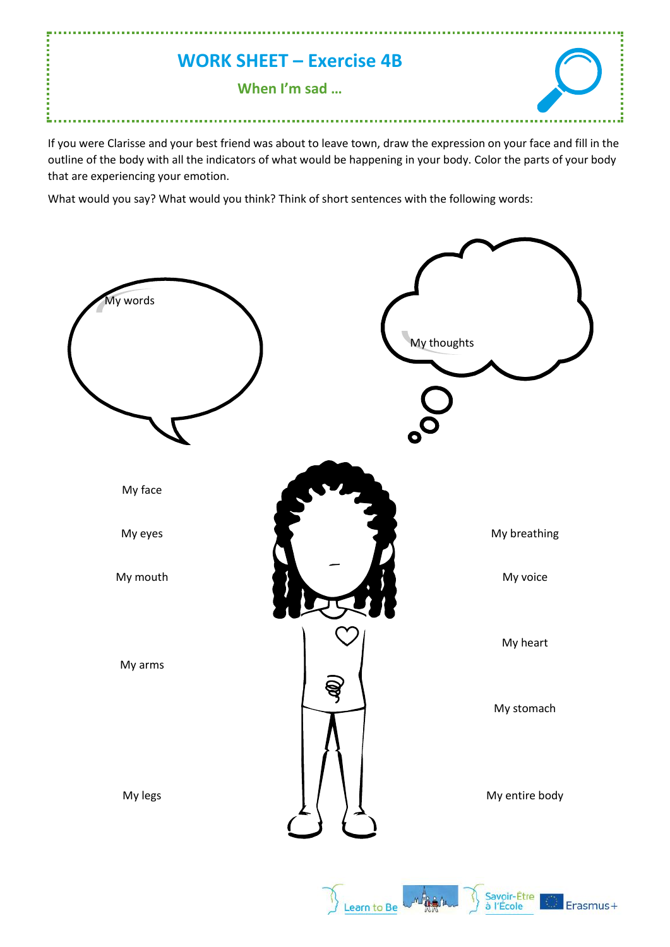## **WORK SHEET – Exercise 4B**

**When I'm sad …**

If you were Clarisse and your best friend was about to leave town, draw the expression on your face and fill in the outline of the body with all the indicators of what would be happening in your body. Color the parts of your body that are experiencing your emotion.

What would you say? What would you think? Think of short sentences with the following words: